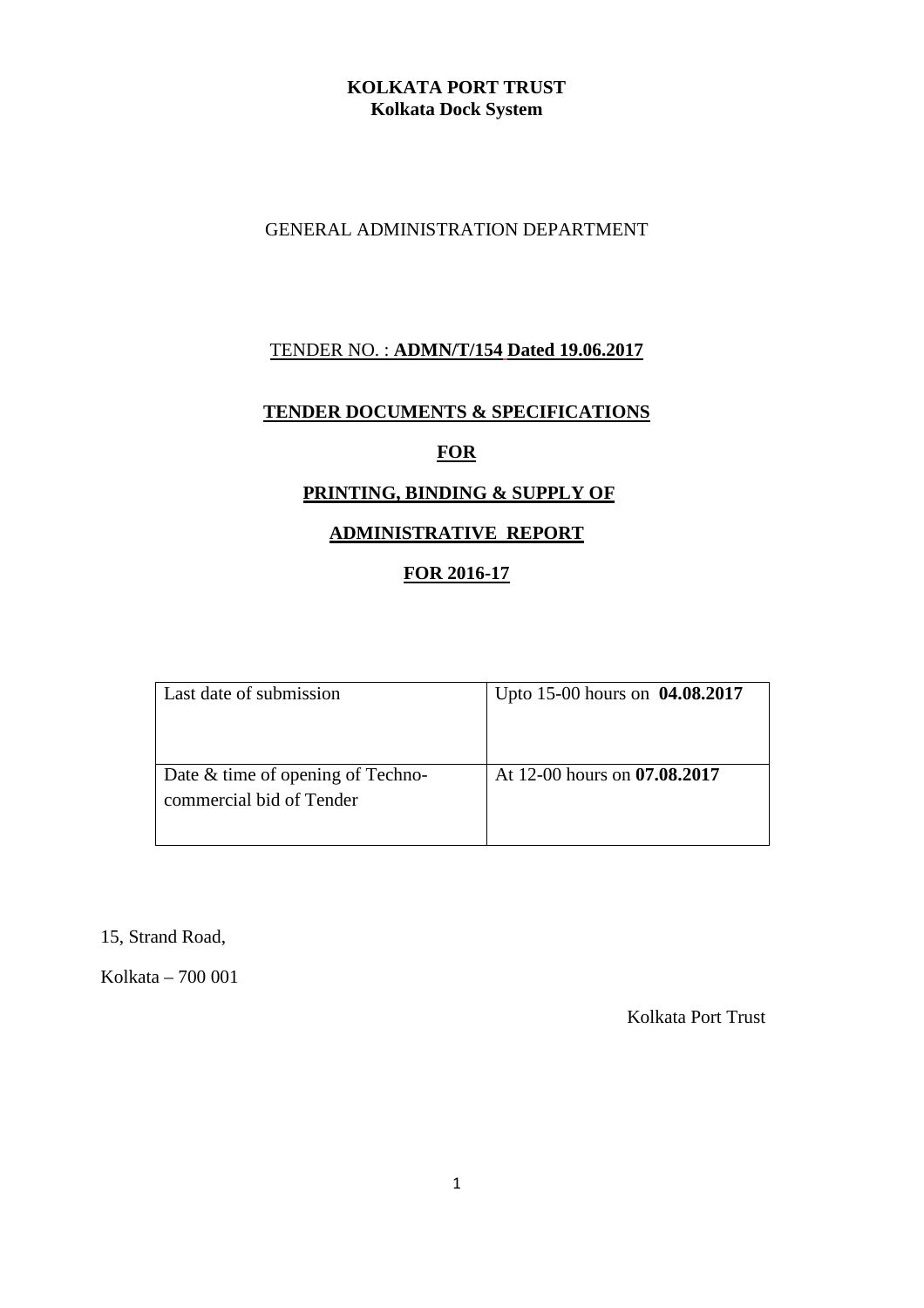# **KOLKATA PORT TRUST Kolkata Dock System**

## GENERAL ADMINISTRATION DEPARTMENT

# TENDER NO. : **ADMN/T/154 Dated 19.06.2017**

#### **TENDER DOCUMENTS & SPECIFICATIONS**

## **FOR**

# **PRINTING, BINDING & SUPPLY OF**

## **ADMINISTRATIVE REPORT**

# **FOR 2016-17**

| Last date of submission                                       | Upto 15-00 hours on 04.08.2017 |
|---------------------------------------------------------------|--------------------------------|
| Date & time of opening of Techno-<br>commercial bid of Tender | At 12-00 hours on 07.08.2017   |

15, Strand Road,

Kolkata – 700 001

Kolkata Port Trust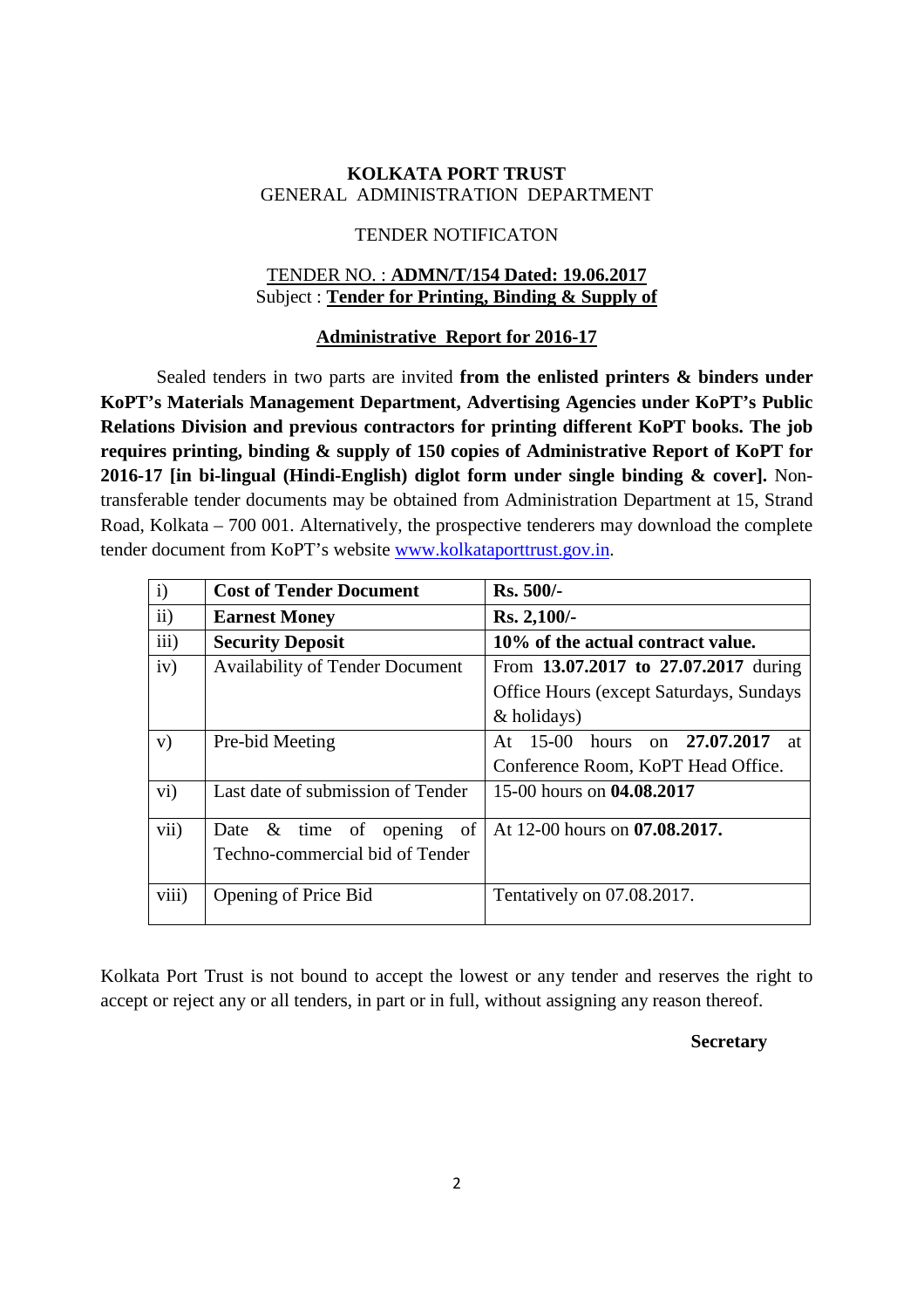### **KOLKATA PORT TRUST**  GENERAL ADMINISTRATION DEPARTMENT

#### TENDER NOTIFICATON

#### TENDER NO. : **ADMN/T/154 Dated: 19.06.2017** Subject : **Tender for Printing, Binding & Supply of**

#### **Administrative Report for 2016-17**

Sealed tenders in two parts are invited **from the enlisted printers & binders under KoPT's Materials Management Department, Advertising Agencies under KoPT's Public Relations Division and previous contractors for printing different KoPT books. The job requires printing, binding & supply of 150 copies of Administrative Report of KoPT for 2016-17 [in bi-lingual (Hindi-English) diglot form under single binding & cover].** Nontransferable tender documents may be obtained from Administration Department at 15, Strand Road, Kolkata – 700 001. Alternatively, the prospective tenderers may download the complete tender document from KoPT's website www.kolkataporttrust.gov.in.

| $\mathbf{i}$      | <b>Cost of Tender Document</b>         | Rs. 500/-                                       |
|-------------------|----------------------------------------|-------------------------------------------------|
| $\overline{ii}$ ) | <b>Earnest Money</b>                   | $Rs. 2,100/$ -                                  |
| iii)              | <b>Security Deposit</b>                | 10% of the actual contract value.               |
| iv)               | <b>Availability of Tender Document</b> | From 13.07.2017 to 27.07.2017 during            |
|                   |                                        | <b>Office Hours (except Saturdays, Sundays)</b> |
|                   |                                        | & holidays)                                     |
| V)                | Pre-bid Meeting                        | At 15-00 hours on 27.07.2017<br>at              |
|                   |                                        | Conference Room, KoPT Head Office.              |
| $\rm vi)$         | Last date of submission of Tender      | 15-00 hours on 04.08.2017                       |
| vii)              | of<br>Date $\&$ time of<br>opening     | At 12-00 hours on <b>07.08.2017.</b>            |
|                   | Techno-commercial bid of Tender        |                                                 |
| viii)             | Opening of Price Bid                   | Tentatively on 07.08.2017.                      |

Kolkata Port Trust is not bound to accept the lowest or any tender and reserves the right to accept or reject any or all tenders, in part or in full, without assigning any reason thereof.

#### **Secretary**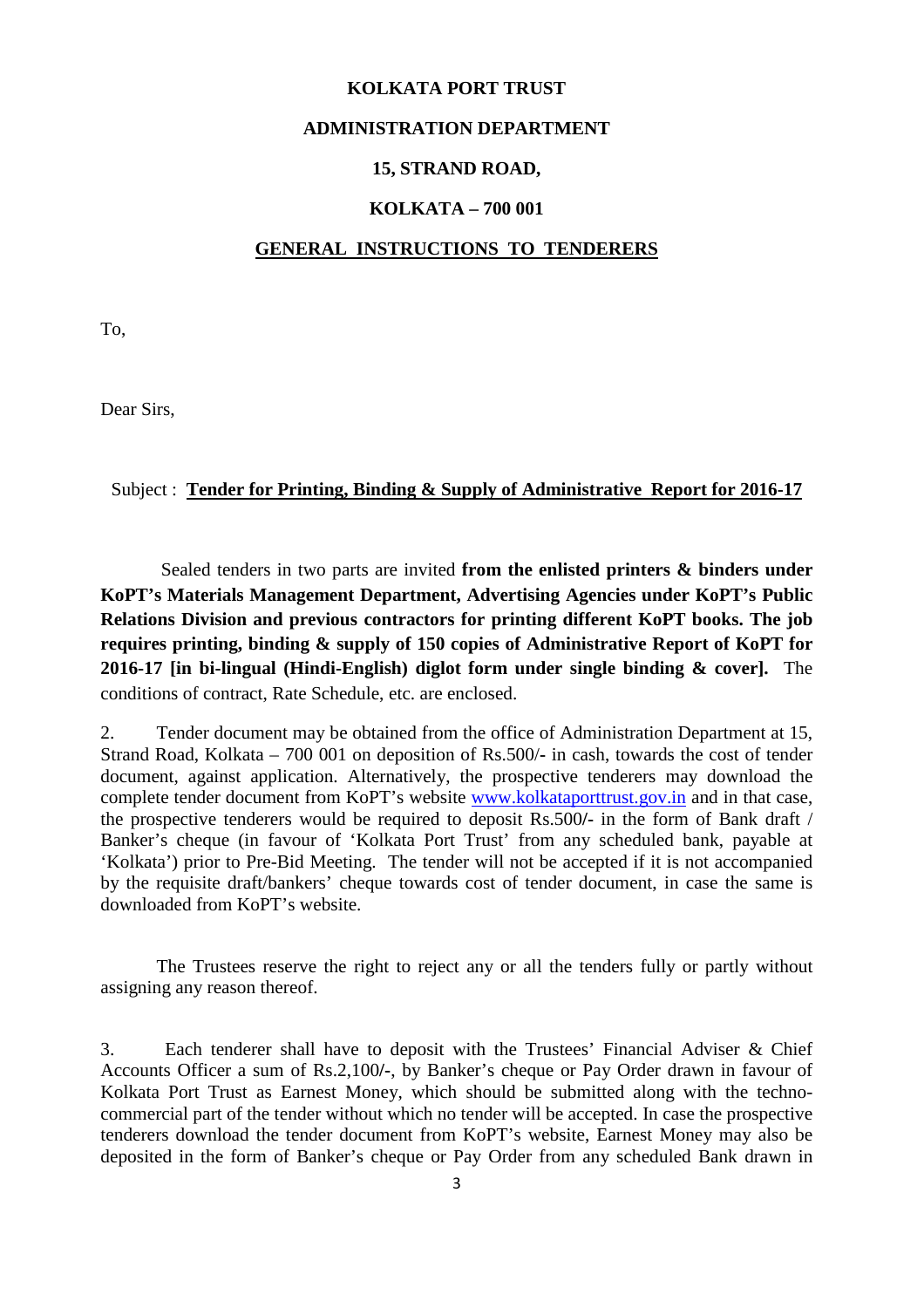#### **KOLKATA PORT TRUST**

#### **ADMINISTRATION DEPARTMENT**

#### **15, STRAND ROAD,**

#### **KOLKATA – 700 001**

#### **GENERAL INSTRUCTIONS TO TENDERERS**

To,

Dear Sirs,

#### Subject : **Tender for Printing, Binding & Supply of Administrative Report for 2016-17**

Sealed tenders in two parts are invited **from the enlisted printers & binders under KoPT's Materials Management Department, Advertising Agencies under KoPT's Public Relations Division and previous contractors for printing different KoPT books. The job requires printing, binding & supply of 150 copies of Administrative Report of KoPT for 2016-17 [in bi-lingual (Hindi-English) diglot form under single binding & cover].** The conditions of contract, Rate Schedule, etc. are enclosed.

2. Tender document may be obtained from the office of Administration Department at 15, Strand Road, Kolkata – 700 001 on deposition of Rs.500/**-** in cash, towards the cost of tender document, against application. Alternatively, the prospective tenderers may download the complete tender document from KoPT's website www.kolkataporttrust.gov.in and in that case, the prospective tenderers would be required to deposit Rs.500**/-** in the form of Bank draft / Banker's cheque (in favour of 'Kolkata Port Trust' from any scheduled bank, payable at 'Kolkata') prior to Pre-Bid Meeting. The tender will not be accepted if it is not accompanied by the requisite draft/bankers' cheque towards cost of tender document, in case the same is downloaded from KoPT's website.

 The Trustees reserve the right to reject any or all the tenders fully or partly without assigning any reason thereof.

3. Each tenderer shall have to deposit with the Trustees' Financial Adviser & Chief Accounts Officer a sum of Rs.2,100**/-**, by Banker's cheque or Pay Order drawn in favour of Kolkata Port Trust as Earnest Money, which should be submitted along with the technocommercial part of the tender without which no tender will be accepted. In case the prospective tenderers download the tender document from KoPT's website, Earnest Money may also be deposited in the form of Banker's cheque or Pay Order from any scheduled Bank drawn in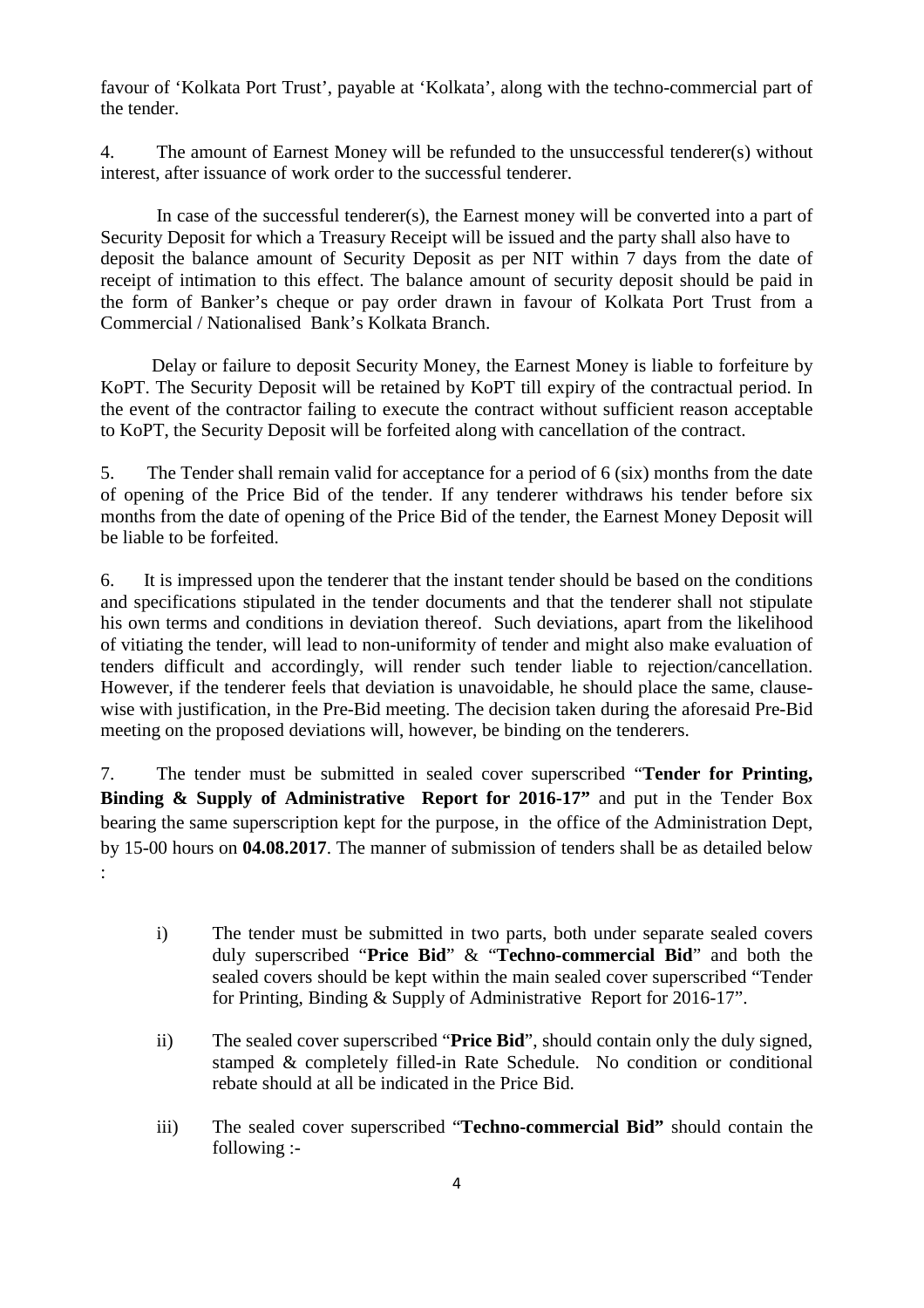favour of 'Kolkata Port Trust', payable at 'Kolkata', along with the techno-commercial part of the tender.

4. The amount of Earnest Money will be refunded to the unsuccessful tenderer(s) without interest, after issuance of work order to the successful tenderer.

 In case of the successful tenderer(s), the Earnest money will be converted into a part of Security Deposit for which a Treasury Receipt will be issued and the party shall also have to deposit the balance amount of Security Deposit as per NIT within 7 days from the date of receipt of intimation to this effect. The balance amount of security deposit should be paid in the form of Banker's cheque or pay order drawn in favour of Kolkata Port Trust from a Commercial / Nationalised Bank's Kolkata Branch.

 Delay or failure to deposit Security Money, the Earnest Money is liable to forfeiture by KoPT. The Security Deposit will be retained by KoPT till expiry of the contractual period. In the event of the contractor failing to execute the contract without sufficient reason acceptable to KoPT, the Security Deposit will be forfeited along with cancellation of the contract.

5. The Tender shall remain valid for acceptance for a period of 6 (six) months from the date of opening of the Price Bid of the tender. If any tenderer withdraws his tender before six months from the date of opening of the Price Bid of the tender, the Earnest Money Deposit will be liable to be forfeited.

6. It is impressed upon the tenderer that the instant tender should be based on the conditions and specifications stipulated in the tender documents and that the tenderer shall not stipulate his own terms and conditions in deviation thereof. Such deviations, apart from the likelihood of vitiating the tender, will lead to non-uniformity of tender and might also make evaluation of tenders difficult and accordingly, will render such tender liable to rejection/cancellation. However, if the tenderer feels that deviation is unavoidable, he should place the same, clausewise with justification, in the Pre-Bid meeting. The decision taken during the aforesaid Pre-Bid meeting on the proposed deviations will, however, be binding on the tenderers.

7. The tender must be submitted in sealed cover superscribed "**Tender for Printing, Binding & Supply of Administrative Report for 2016-17"** and put in the Tender Box bearing the same superscription kept for the purpose, in the office of the Administration Dept, by 15-00 hours on **04.08.2017**. The manner of submission of tenders shall be as detailed below

:

- i) The tender must be submitted in two parts, both under separate sealed covers duly superscribed "**Price Bid**" & "**Techno-commercial Bid**" and both the sealed covers should be kept within the main sealed cover superscribed "Tender for Printing, Binding & Supply of Administrative Report for 2016-17".
- ii) The sealed cover superscribed "**Price Bid**", should contain only the duly signed, stamped & completely filled-in Rate Schedule. No condition or conditional rebate should at all be indicated in the Price Bid.
- iii) The sealed cover superscribed "**Techno-commercial Bid"** should contain the following :-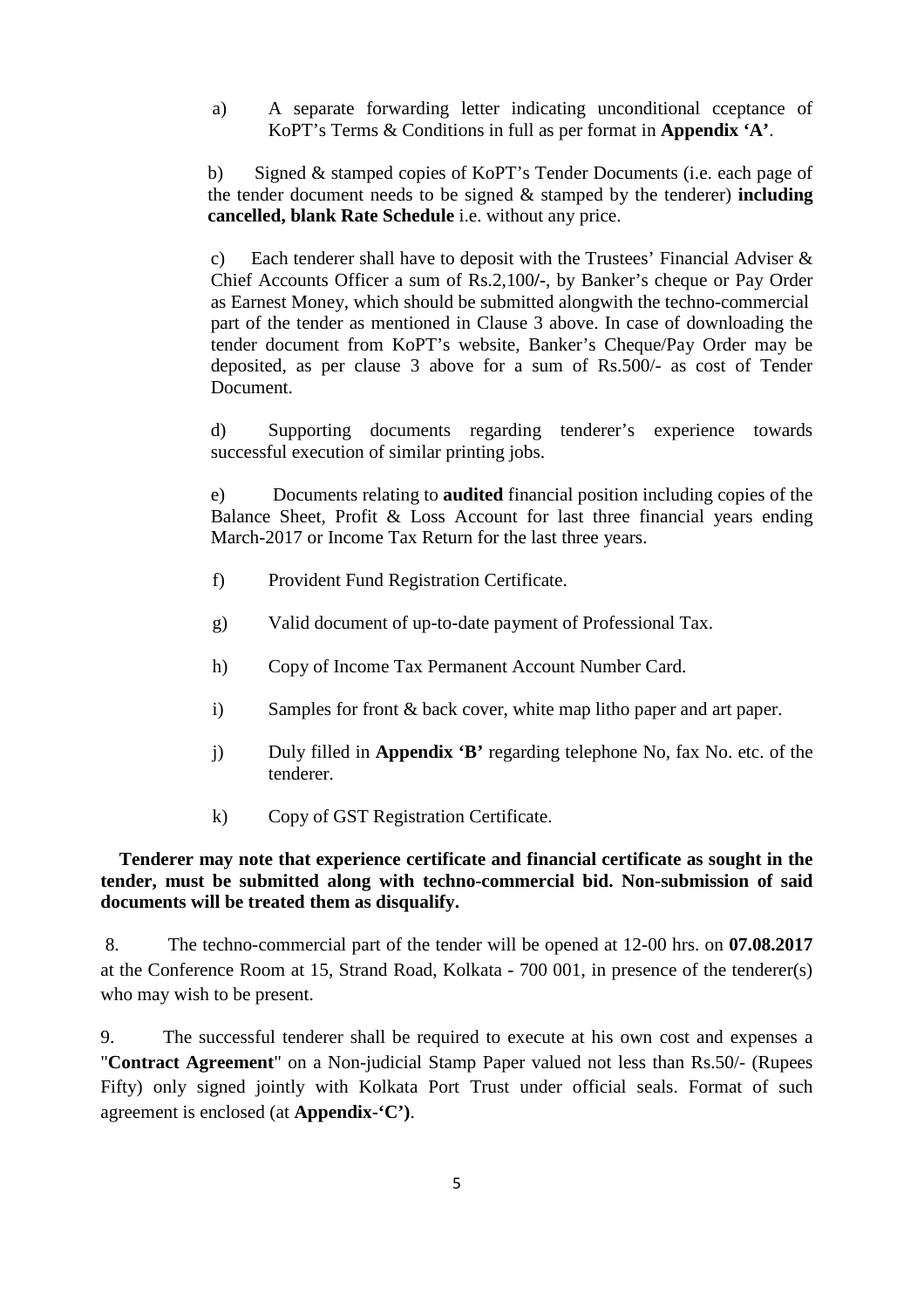a) A separate forwarding letter indicating unconditional cceptance of KoPT's Terms & Conditions in full as per format in **Appendix 'A'**.

b) Signed & stamped copies of KoPT's Tender Documents (i.e. each page of the tender document needs to be signed & stamped by the tenderer) **including cancelled, blank Rate Schedule** i.e. without any price.

c) Each tenderer shall have to deposit with the Trustees' Financial Adviser & Chief Accounts Officer a sum of Rs.2,100**/-**, by Banker's cheque or Pay Order as Earnest Money, which should be submitted alongwith the techno-commercial part of the tender as mentioned in Clause 3 above. In case of downloading the tender document from KoPT's website, Banker's Cheque/Pay Order may be deposited, as per clause 3 above for a sum of Rs.500/- as cost of Tender Document.

d) Supporting documents regarding tenderer's experience towards successful execution of similar printing jobs.

 e) Documents relating to **audited** financial position including copies of the Balance Sheet, Profit & Loss Account for last three financial years ending March-2017 or Income Tax Return for the last three years.

- f) Provident Fund Registration Certificate.
- g) Valid document of up-to-date payment of Professional Tax.
- h) Copy of Income Tax Permanent Account Number Card.
- i) Samples for front & back cover, white map litho paper and art paper.
- j) Duly filled in **Appendix 'B'** regarding telephone No, fax No. etc. of the tenderer.
- k) Copy of GST Registration Certificate.

### **Tenderer may note that experience certificate and financial certificate as sought in the tender, must be submitted along with techno-commercial bid. Non-submission of said documents will be treated them as disqualify.**

 8. The techno-commercial part of the tender will be opened at 12-00 hrs. on **07.08.2017** at the Conference Room at 15, Strand Road, Kolkata - 700 001, in presence of the tenderer(s) who may wish to be present.

9. The successful tenderer shall be required to execute at his own cost and expenses a "**Contract Agreement**" on a Non-judicial Stamp Paper valued not less than Rs.50/- (Rupees Fifty) only signed jointly with Kolkata Port Trust under official seals. Format of such agreement is enclosed (at **Appendix-'C')**.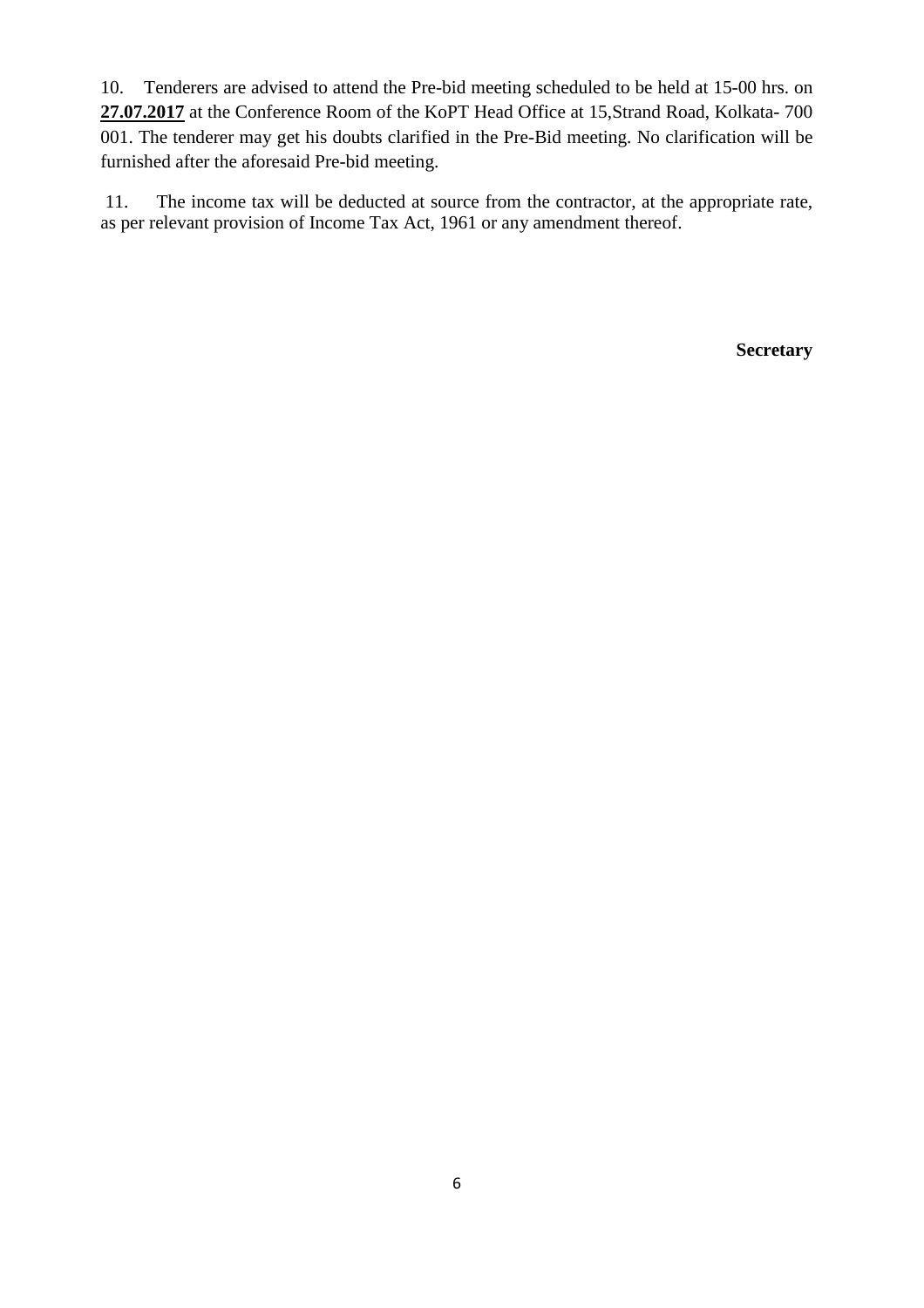10. Tenderers are advised to attend the Pre-bid meeting scheduled to be held at 15-00 hrs. on **27.07.2017** at the Conference Room of the KoPT Head Office at 15,Strand Road, Kolkata- 700 001. The tenderer may get his doubts clarified in the Pre-Bid meeting. No clarification will be furnished after the aforesaid Pre-bid meeting.

 11. The income tax will be deducted at source from the contractor, at the appropriate rate, as per relevant provision of Income Tax Act, 1961 or any amendment thereof.

**Secretary**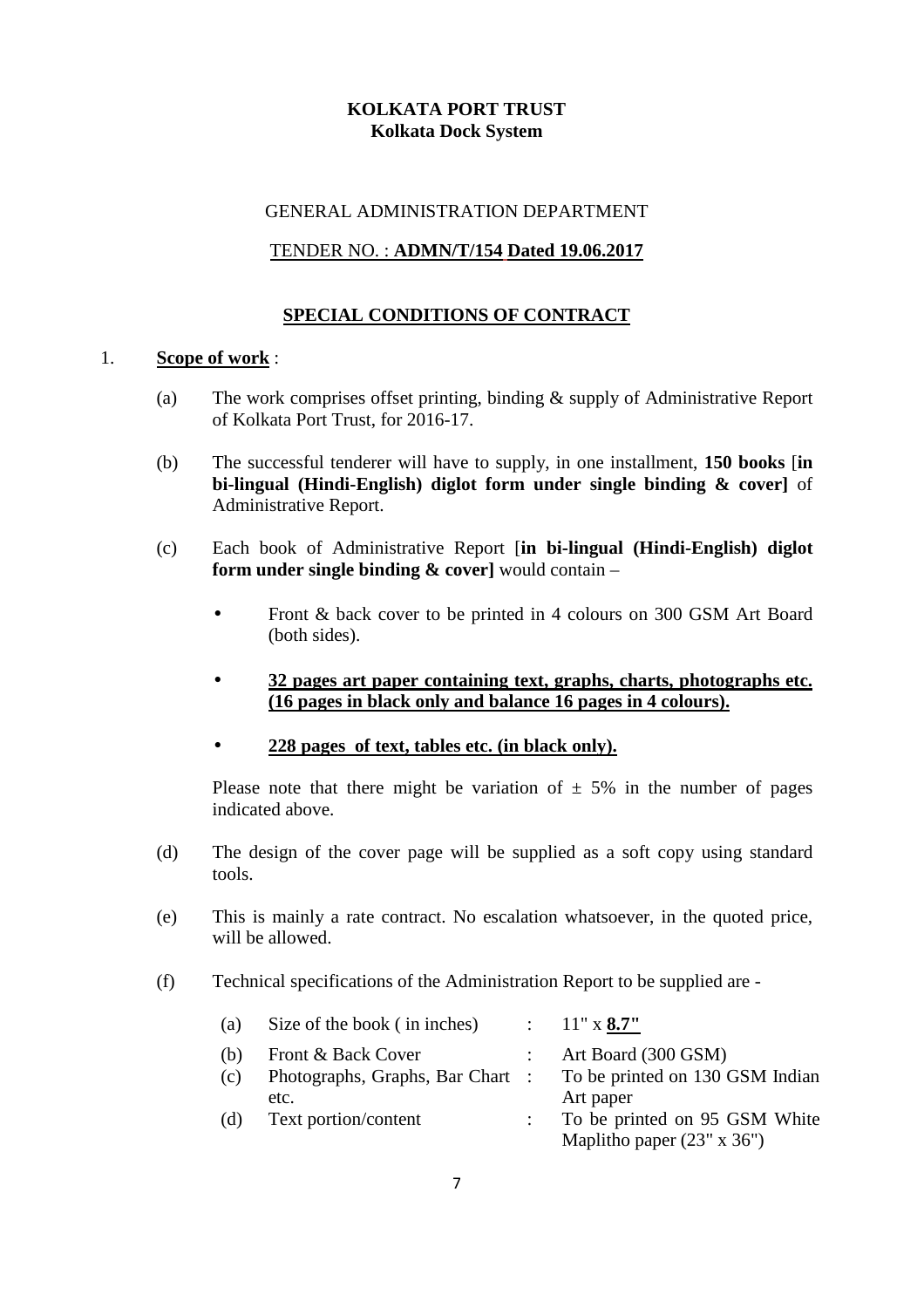# **KOLKATA PORT TRUST Kolkata Dock System**

#### GENERAL ADMINISTRATION DEPARTMENT

### TENDER NO. : **ADMN/T/154 Dated 19.06.2017**

## **SPECIAL CONDITIONS OF CONTRACT**

#### 1. **Scope of work** :

- (a) The work comprises offset printing, binding & supply of Administrative Report of Kolkata Port Trust, for 2016-17.
- (b) The successful tenderer will have to supply, in one installment, **150 books** [**in bi-lingual (Hindi-English) diglot form under single binding & cover]** of Administrative Report.
- (c) Each book of Administrative Report [**in bi-lingual (Hindi-English) diglot form under single binding & cover]** would contain –
	- Front & back cover to be printed in 4 colours on 300 GSM Art Board (both sides).
	- **32 pages art paper containing text, graphs, charts, photographs etc. (16 pages in black only and balance 16 pages in 4 colours).**
	- **228 pages of text, tables etc. (in black only).**

Please note that there might be variation of  $\pm$  5% in the number of pages indicated above.

- (d) The design of the cover page will be supplied as a soft copy using standard tools.
- (e) This is mainly a rate contract. No escalation whatsoever, in the quoted price, will be allowed.
- (f) Technical specifications of the Administration Report to be supplied are -

| (a) | Size of the book (in inches)     | $\therefore$ 11" x 8.7"                                            |
|-----|----------------------------------|--------------------------------------------------------------------|
| (b) | Front & Back Cover               | Art Board (300 GSM)                                                |
| (c) | Photographs, Graphs, Bar Chart : | To be printed on 130 GSM Indian                                    |
|     | etc.                             | Art paper                                                          |
| (d) | Text portion/content             | To be printed on 95 GSM White<br>Maplitho paper $(23" \times 36")$ |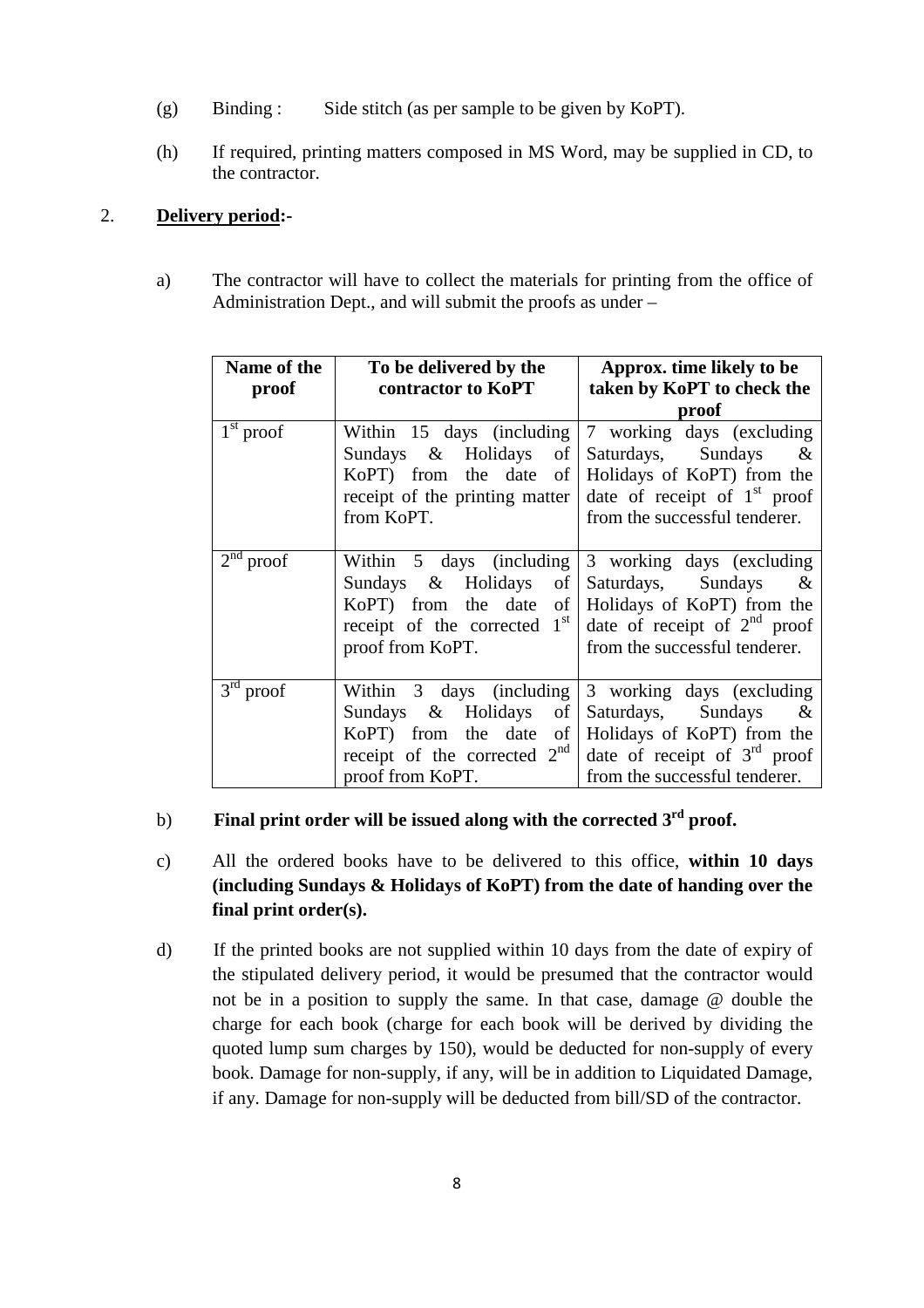- (g) Binding : Side stitch (as per sample to be given by KoPT).
- (h) If required, printing matters composed in MS Word, may be supplied in CD, to the contractor.

## 2. **Delivery period:-**

a) The contractor will have to collect the materials for printing from the office of Administration Dept., and will submit the proofs as under –

| Name of the           | To be delivered by the                   | Approx. time likely to be                              |
|-----------------------|------------------------------------------|--------------------------------------------------------|
| proof                 | contractor to KoPT                       | taken by KoPT to check the                             |
|                       |                                          | proof                                                  |
| $1st$ proof           |                                          | Within 15 days (including $7$ working days (excluding  |
|                       | Sundays & Holidays of                    | Saturdays, Sundays &                                   |
|                       | $KoPT$ ) from the date of                | Holidays of KoPT) from the                             |
|                       | receipt of the printing matter           | date of receipt of $1st$ proof                         |
|                       | from KoPT.                               | from the successful tenderer.                          |
|                       |                                          |                                                        |
| 2 <sup>nd</sup> proof |                                          | Within $5$ days (including $3$ working days (excluding |
|                       | Sundays & Holidays<br>$\circ$ of $\circ$ | Saturdays, Sundays &                                   |
|                       | KoPT) from the date<br>of                | Holidays of KoPT) from the                             |
|                       | receipt of the corrected $1st$           | date of receipt of $2nd$ proof                         |
|                       | proof from KoPT.                         | from the successful tenderer.                          |
|                       |                                          |                                                        |
| $3rd$ proof           | Within 3 days (including                 | 3 working days (excluding                              |
|                       | Sundays & Holidays of                    | Saturdays, Sundays &                                   |
|                       | KoPT) from the date<br>$\sigma$ f        | Holidays of KoPT) from the                             |
|                       | receipt of the corrected $2nd$           | date of receipt of $3rd$ proof                         |
|                       | proof from KoPT.                         | from the successful tenderer.                          |

# b) **Final print order will be issued along with the corrected 3rd proof.**

- c) All the ordered books have to be delivered to this office, **within 10 days (including Sundays & Holidays of KoPT) from the date of handing over the final print order(s).**
- d) If the printed books are not supplied within 10 days from the date of expiry of the stipulated delivery period, it would be presumed that the contractor would not be in a position to supply the same. In that case, damage @ double the charge for each book (charge for each book will be derived by dividing the quoted lump sum charges by 150), would be deducted for non-supply of every book. Damage for non-supply, if any, will be in addition to Liquidated Damage, if any. Damage for non-supply will be deducted from bill/SD of the contractor.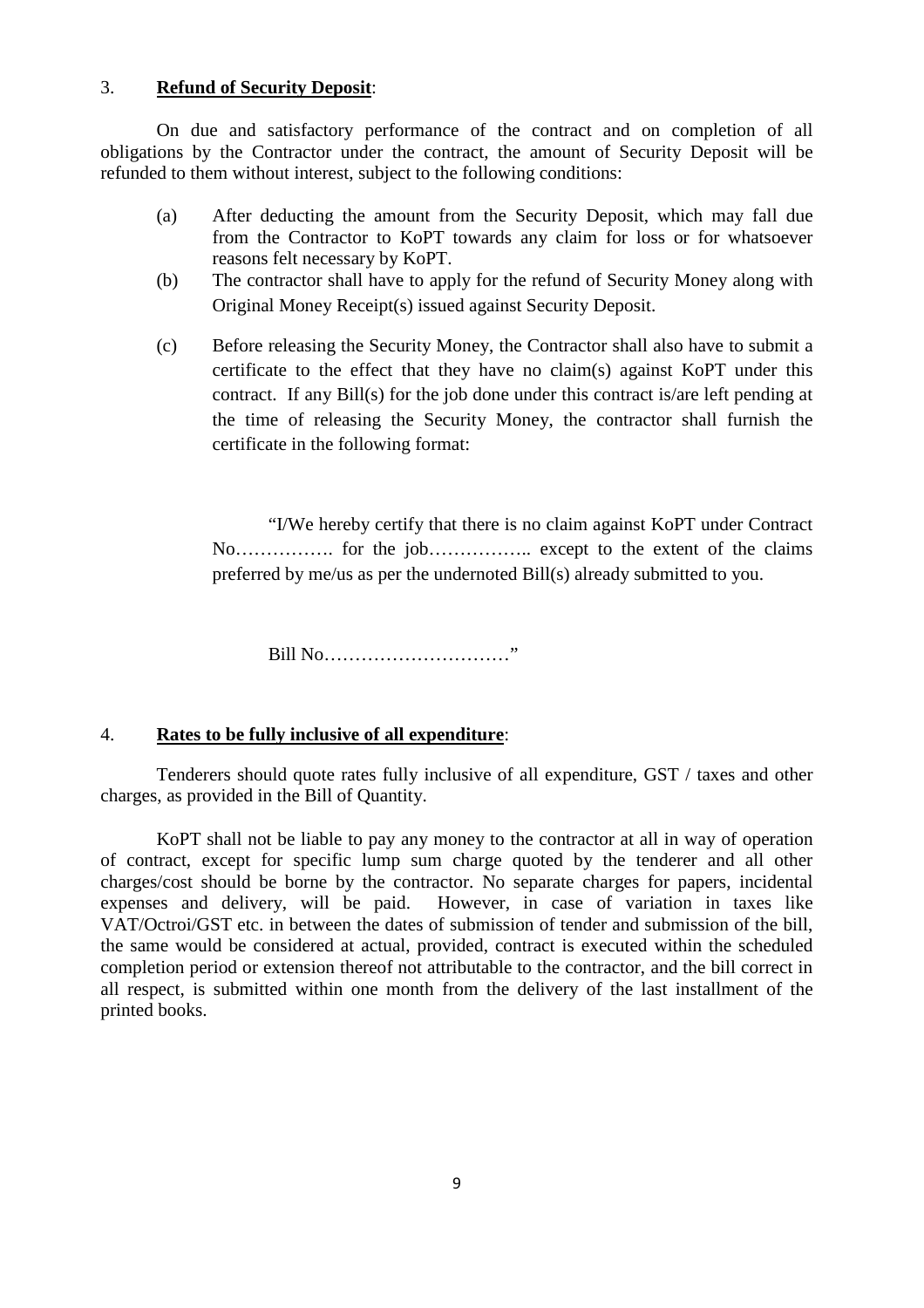#### 3. **Refund of Security Deposit**:

 On due and satisfactory performance of the contract and on completion of all obligations by the Contractor under the contract, the amount of Security Deposit will be refunded to them without interest, subject to the following conditions:

- (a) After deducting the amount from the Security Deposit, which may fall due from the Contractor to KoPT towards any claim for loss or for whatsoever reasons felt necessary by KoPT.
- (b) The contractor shall have to apply for the refund of Security Money along with Original Money Receipt(s) issued against Security Deposit.
- (c) Before releasing the Security Money, the Contractor shall also have to submit a certificate to the effect that they have no claim(s) against KoPT under this contract. If any Bill(s) for the job done under this contract is/are left pending at the time of releasing the Security Money, the contractor shall furnish the certificate in the following format:

 "I/We hereby certify that there is no claim against KoPT under Contract No……………. for the job…………….. except to the extent of the claims preferred by me/us as per the undernoted Bill(s) already submitted to you.

Bill No…………………………"

#### 4. **Rates to be fully inclusive of all expenditure**:

 Tenderers should quote rates fully inclusive of all expenditure, GST / taxes and other charges, as provided in the Bill of Quantity.

 KoPT shall not be liable to pay any money to the contractor at all in way of operation of contract, except for specific lump sum charge quoted by the tenderer and all other charges/cost should be borne by the contractor. No separate charges for papers, incidental expenses and delivery, will be paid. However, in case of variation in taxes like VAT/Octroi/GST etc. in between the dates of submission of tender and submission of the bill, the same would be considered at actual, provided, contract is executed within the scheduled completion period or extension thereof not attributable to the contractor, and the bill correct in all respect, is submitted within one month from the delivery of the last installment of the printed books.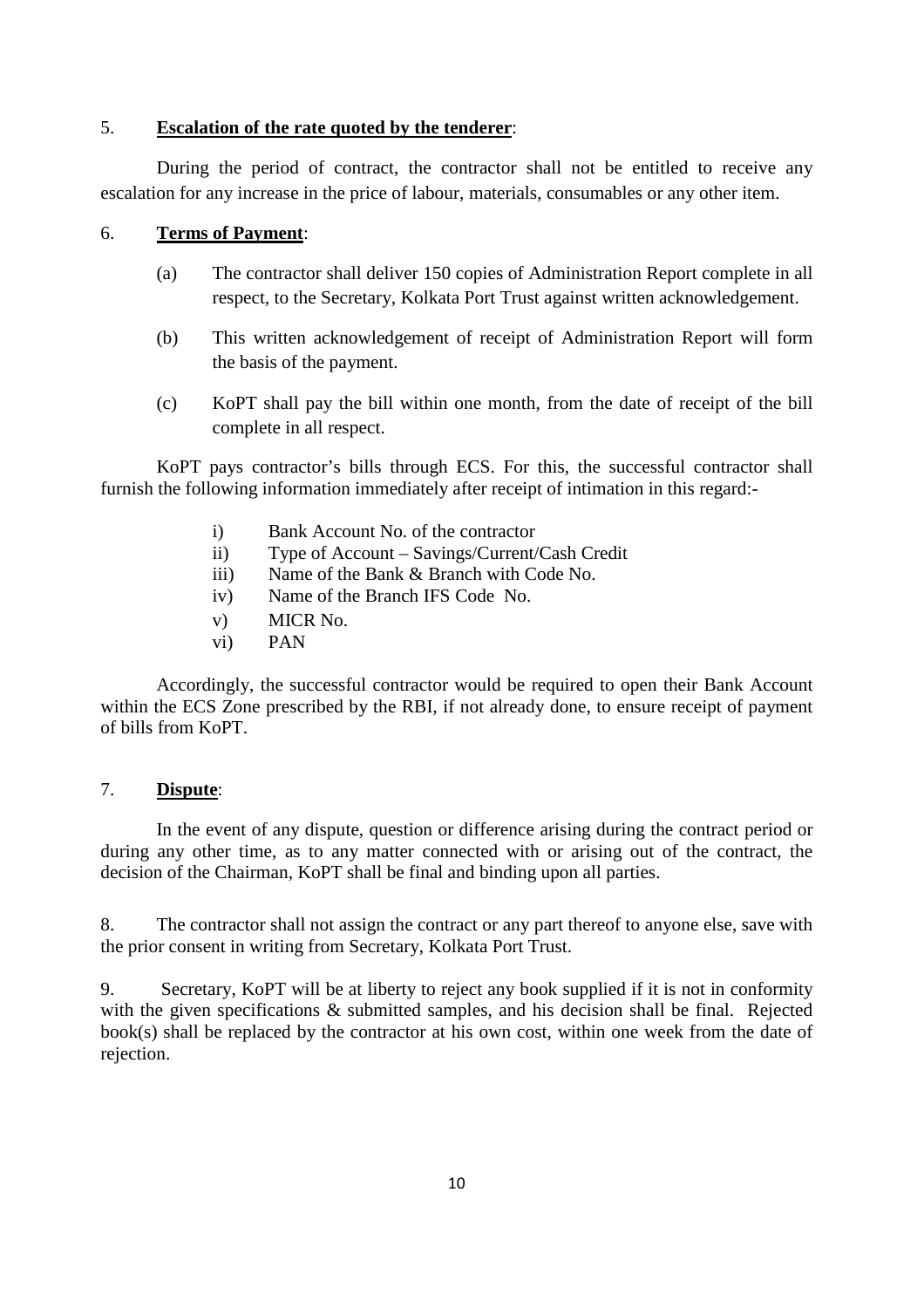### 5. **Escalation of the rate quoted by the tenderer**:

 During the period of contract, the contractor shall not be entitled to receive any escalation for any increase in the price of labour, materials, consumables or any other item.

#### 6. **Terms of Payment**:

- (a) The contractor shall deliver 150 copies of Administration Report complete in all respect, to the Secretary, Kolkata Port Trust against written acknowledgement.
- (b) This written acknowledgement of receipt of Administration Report will form the basis of the payment.
- (c) KoPT shall pay the bill within one month, from the date of receipt of the bill complete in all respect.

 KoPT pays contractor's bills through ECS. For this, the successful contractor shall furnish the following information immediately after receipt of intimation in this regard:-

- i) Bank Account No. of the contractor
- ii) Type of Account Savings/Current/Cash Credit
- iii) Name of the Bank & Branch with Code No.
- iv) Name of the Branch IFS Code No.
- v) MICR No.
- vi) PAN

 Accordingly, the successful contractor would be required to open their Bank Account within the ECS Zone prescribed by the RBI, if not already done, to ensure receipt of payment of bills from KoPT.

#### 7. **Dispute**:

In the event of any dispute, question or difference arising during the contract period or during any other time, as to any matter connected with or arising out of the contract, the decision of the Chairman, KoPT shall be final and binding upon all parties.

8. The contractor shall not assign the contract or any part thereof to anyone else, save with the prior consent in writing from Secretary, Kolkata Port Trust.

9. Secretary, KoPT will be at liberty to reject any book supplied if it is not in conformity with the given specifications  $\&$  submitted samples, and his decision shall be final. Rejected book(s) shall be replaced by the contractor at his own cost, within one week from the date of rejection.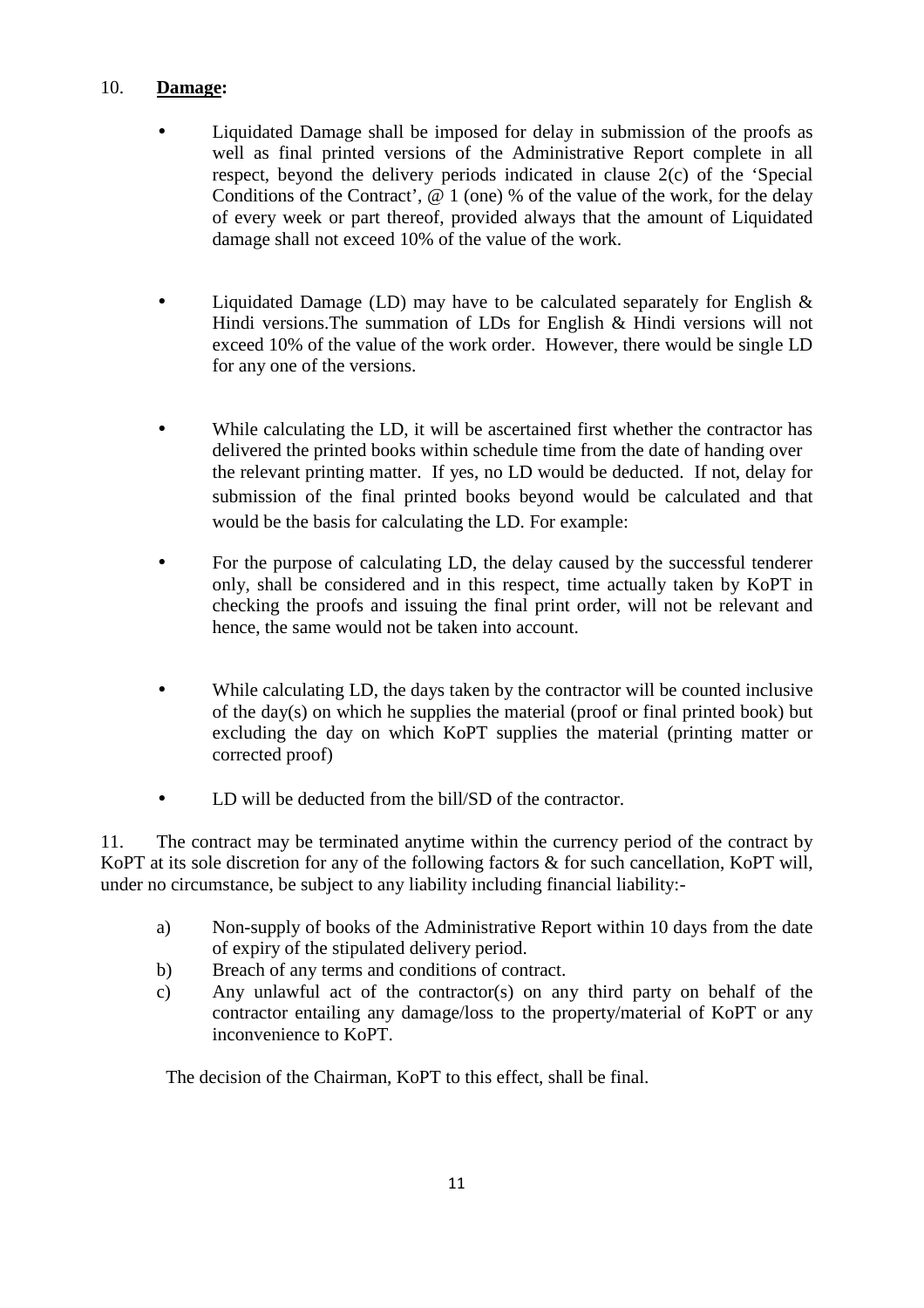## 10. **Damage:**

- Liquidated Damage shall be imposed for delay in submission of the proofs as well as final printed versions of the Administrative Report complete in all respect, beyond the delivery periods indicated in clause 2(c) of the 'Special Conditions of the Contract',  $@ 1$  (one) % of the value of the work, for the delay of every week or part thereof, provided always that the amount of Liquidated damage shall not exceed 10% of the value of the work.
- Liquidated Damage (LD) may have to be calculated separately for English  $\&$ Hindi versions.The summation of LDs for English & Hindi versions will not exceed 10% of the value of the work order. However, there would be single LD for any one of the versions.
- While calculating the LD, it will be ascertained first whether the contractor has delivered the printed books within schedule time from the date of handing over the relevant printing matter. If yes, no LD would be deducted. If not, delay for submission of the final printed books beyond would be calculated and that would be the basis for calculating the LD. For example:
- For the purpose of calculating LD, the delay caused by the successful tenderer only, shall be considered and in this respect, time actually taken by KoPT in checking the proofs and issuing the final print order, will not be relevant and hence, the same would not be taken into account.
- While calculating LD, the days taken by the contractor will be counted inclusive of the day(s) on which he supplies the material (proof or final printed book) but excluding the day on which KoPT supplies the material (printing matter or corrected proof)
- LD will be deducted from the bill/SD of the contractor.

11. The contract may be terminated anytime within the currency period of the contract by KoPT at its sole discretion for any of the following factors & for such cancellation, KoPT will, under no circumstance, be subject to any liability including financial liability:-

- a) Non-supply of books of the Administrative Report within 10 days from the date of expiry of the stipulated delivery period.
- b) Breach of any terms and conditions of contract.
- c) Any unlawful act of the contractor(s) on any third party on behalf of the contractor entailing any damage/loss to the property/material of KoPT or any inconvenience to KoPT.

The decision of the Chairman, KoPT to this effect, shall be final.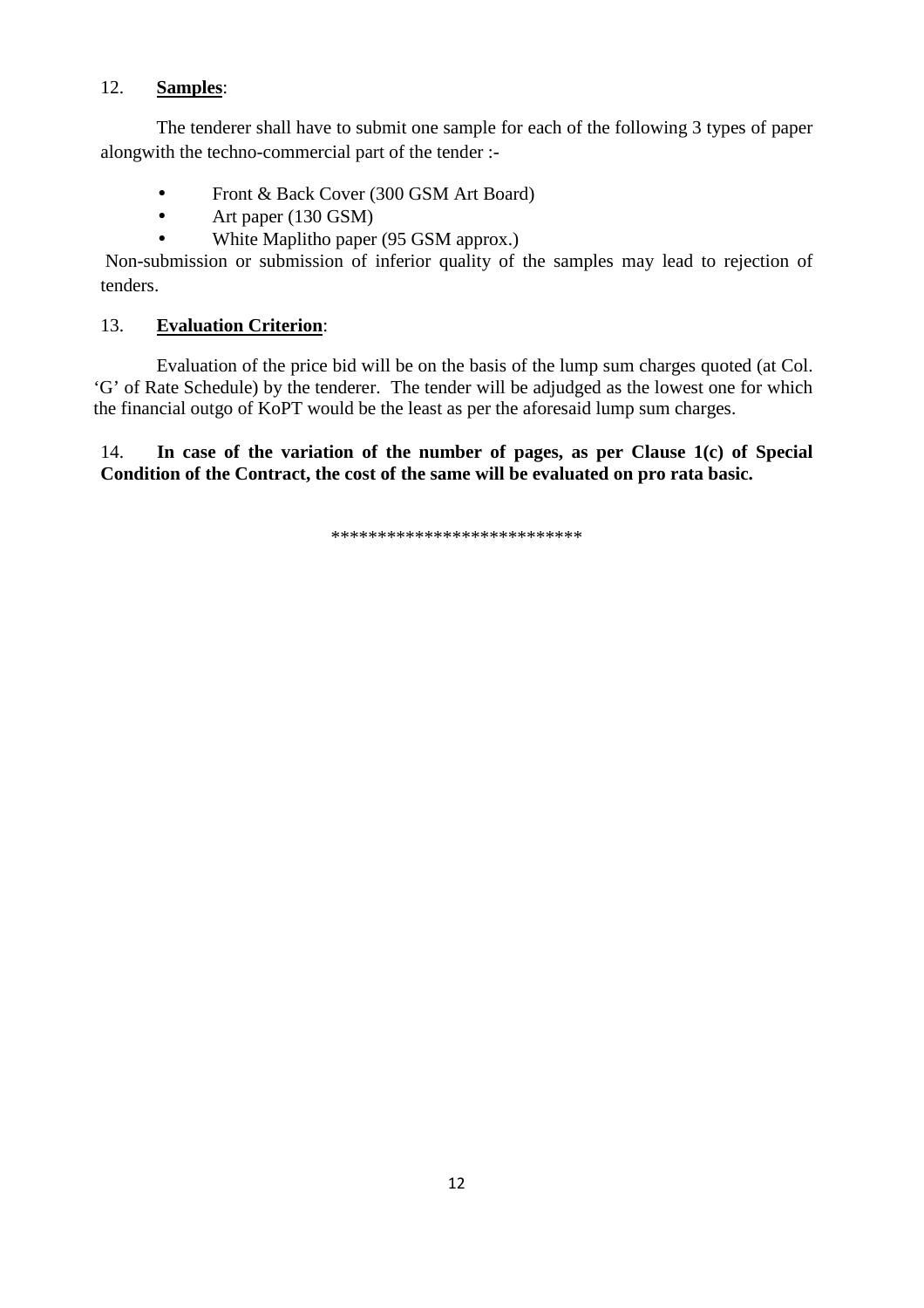## 12. **Samples**:

 The tenderer shall have to submit one sample for each of the following 3 types of paper alongwith the techno-commercial part of the tender :-

- Front & Back Cover (300 GSM Art Board)
- Art paper (130 GSM)
- White Maplitho paper (95 GSM approx.)

 Non-submission or submission of inferior quality of the samples may lead to rejection of tenders.

# 13. **Evaluation Criterion**:

 Evaluation of the price bid will be on the basis of the lump sum charges quoted (at Col. 'G' of Rate Schedule) by the tenderer. The tender will be adjudged as the lowest one for which the financial outgo of KoPT would be the least as per the aforesaid lump sum charges.

14. **In case of the variation of the number of pages, as per Clause 1(c) of Special Condition of the Contract, the cost of the same will be evaluated on pro rata basic.** 

\*\*\*\*\*\*\*\*\*\*\*\*\*\*\*\*\*\*\*\*\*\*\*\*\*\*\*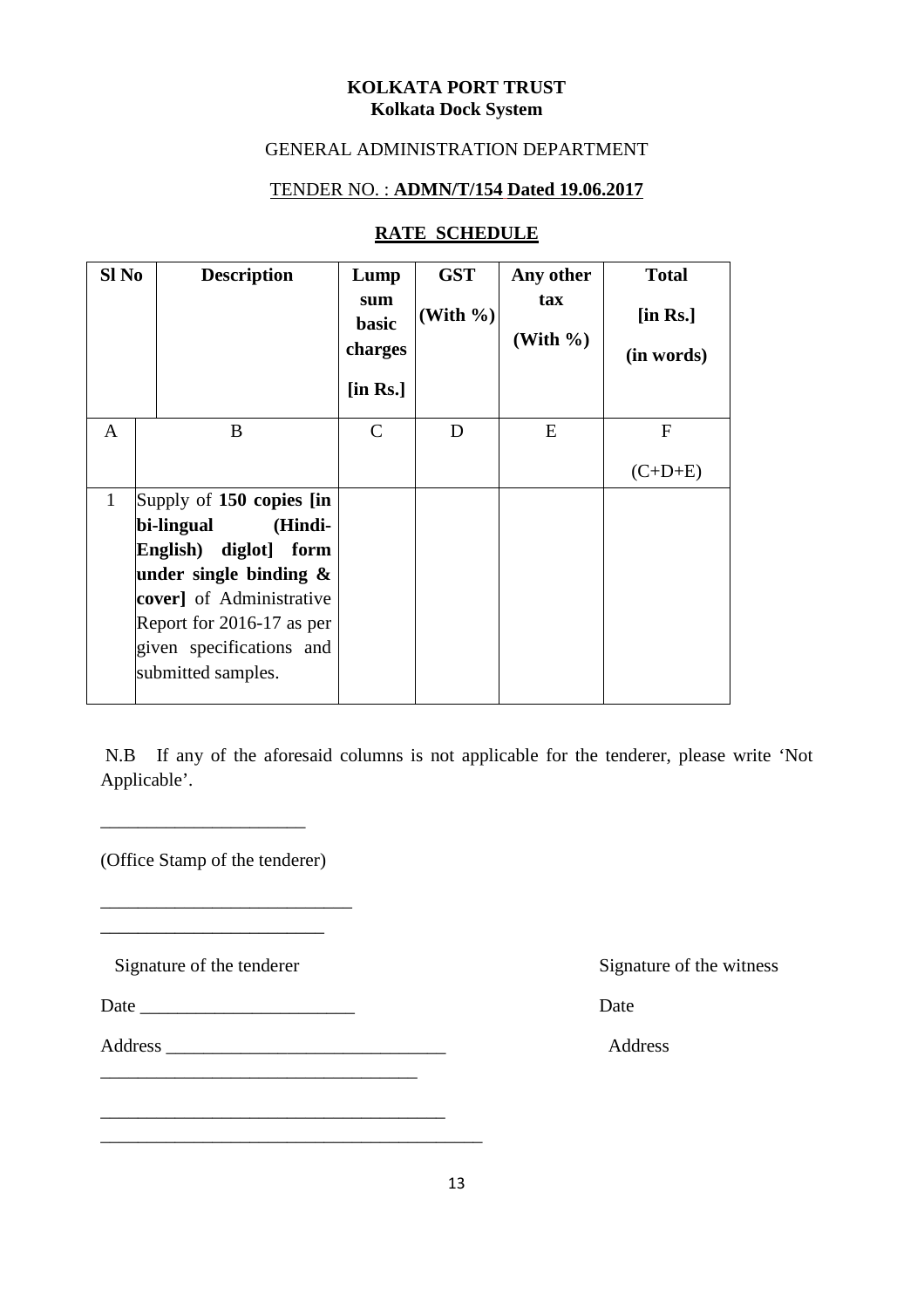### **KOLKATA PORT TRUST Kolkata Dock System**

# GENERAL ADMINISTRATION DEPARTMENT

## TENDER NO. : **ADMN/T/154 Dated 19.06.2017**

## **RATE SCHEDULE**

| Sl No        |                           | <b>Description</b> | Lump<br>sum<br>basic<br>charges<br>$[$ in Rs. $]$ | <b>GST</b><br>(With $\%$ ) | Any other<br>tax<br>(With $\%$ ) | <b>Total</b><br>$[$ in Rs. $]$<br>(in words) |
|--------------|---------------------------|--------------------|---------------------------------------------------|----------------------------|----------------------------------|----------------------------------------------|
| $\mathbf{A}$ | B                         |                    | $\mathsf{C}$                                      | D                          | E                                | $F_{\rm}$                                    |
|              |                           |                    |                                                   |                            |                                  | $(C+D+E)$                                    |
| $\mathbf{1}$ | Supply of 150 copies [in] |                    |                                                   |                            |                                  |                                              |
|              | bi-lingual                | (Hindi-            |                                                   |                            |                                  |                                              |
|              | English) diglot] form     |                    |                                                   |                            |                                  |                                              |
|              | under single binding $\&$ |                    |                                                   |                            |                                  |                                              |
|              | cover] of Administrative  |                    |                                                   |                            |                                  |                                              |
|              | Report for 2016-17 as per |                    |                                                   |                            |                                  |                                              |
|              | given specifications and  |                    |                                                   |                            |                                  |                                              |
|              | submitted samples.        |                    |                                                   |                            |                                  |                                              |

 N.B If any of the aforesaid columns is not applicable for the tenderer, please write 'Not Applicable'.

(Office Stamp of the tenderer)

\_\_\_\_\_\_\_\_\_\_\_\_\_\_\_\_\_\_\_\_\_\_\_\_\_\_\_ \_\_\_\_\_\_\_\_\_\_\_\_\_\_\_\_\_\_\_\_\_\_\_\_

\_\_\_\_\_\_\_\_\_\_\_\_\_\_\_\_\_\_\_\_\_\_

Signature of the tenderer Signature of the witness

- Date \_\_\_\_\_\_\_\_\_\_\_\_\_\_\_\_\_\_\_\_\_\_\_ Date
- Address \_\_\_\_\_\_\_\_\_\_\_\_\_\_\_\_\_\_\_\_\_\_\_\_\_\_\_\_\_\_ Address  $\frac{1}{2}$  ,  $\frac{1}{2}$  ,  $\frac{1}{2}$  ,  $\frac{1}{2}$  ,  $\frac{1}{2}$  ,  $\frac{1}{2}$  ,  $\frac{1}{2}$  ,  $\frac{1}{2}$  ,  $\frac{1}{2}$  ,  $\frac{1}{2}$  ,  $\frac{1}{2}$  ,  $\frac{1}{2}$  ,  $\frac{1}{2}$  ,  $\frac{1}{2}$  ,  $\frac{1}{2}$  ,  $\frac{1}{2}$  ,  $\frac{1}{2}$  ,  $\frac{1}{2}$  ,  $\frac{1$

\_\_\_\_\_\_\_\_\_\_\_\_\_\_\_\_\_\_\_\_\_\_\_\_\_\_\_\_\_\_\_\_\_\_\_\_\_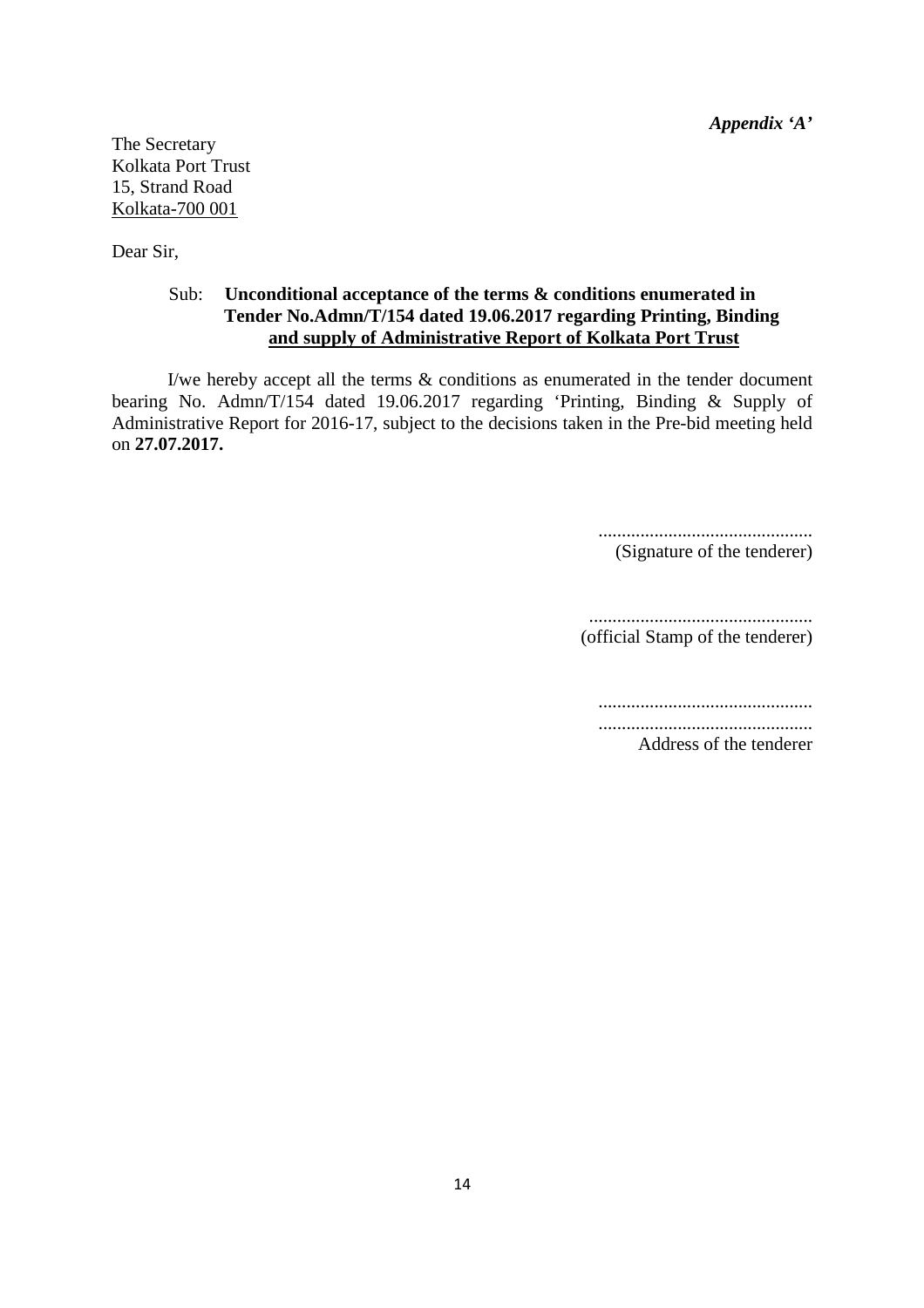*Appendix 'A'*

The Secretary Kolkata Port Trust 15, Strand Road Kolkata-700 001

Dear Sir,

#### Sub: **Unconditional acceptance of the terms & conditions enumerated in Tender No.Admn/T/154 dated 19.06.2017 regarding Printing, Binding and supply of Administrative Report of Kolkata Port Trust**

 I/we hereby accept all the terms & conditions as enumerated in the tender document bearing No. Admn/T/154 dated 19.06.2017 regarding 'Printing, Binding & Supply of Administrative Report for 2016-17, subject to the decisions taken in the Pre-bid meeting held on **27.07.2017.**

> .............................................. (Signature of the tenderer)

................................................

(official Stamp of the tenderer)

..............................................

.............................................. Address of the tenderer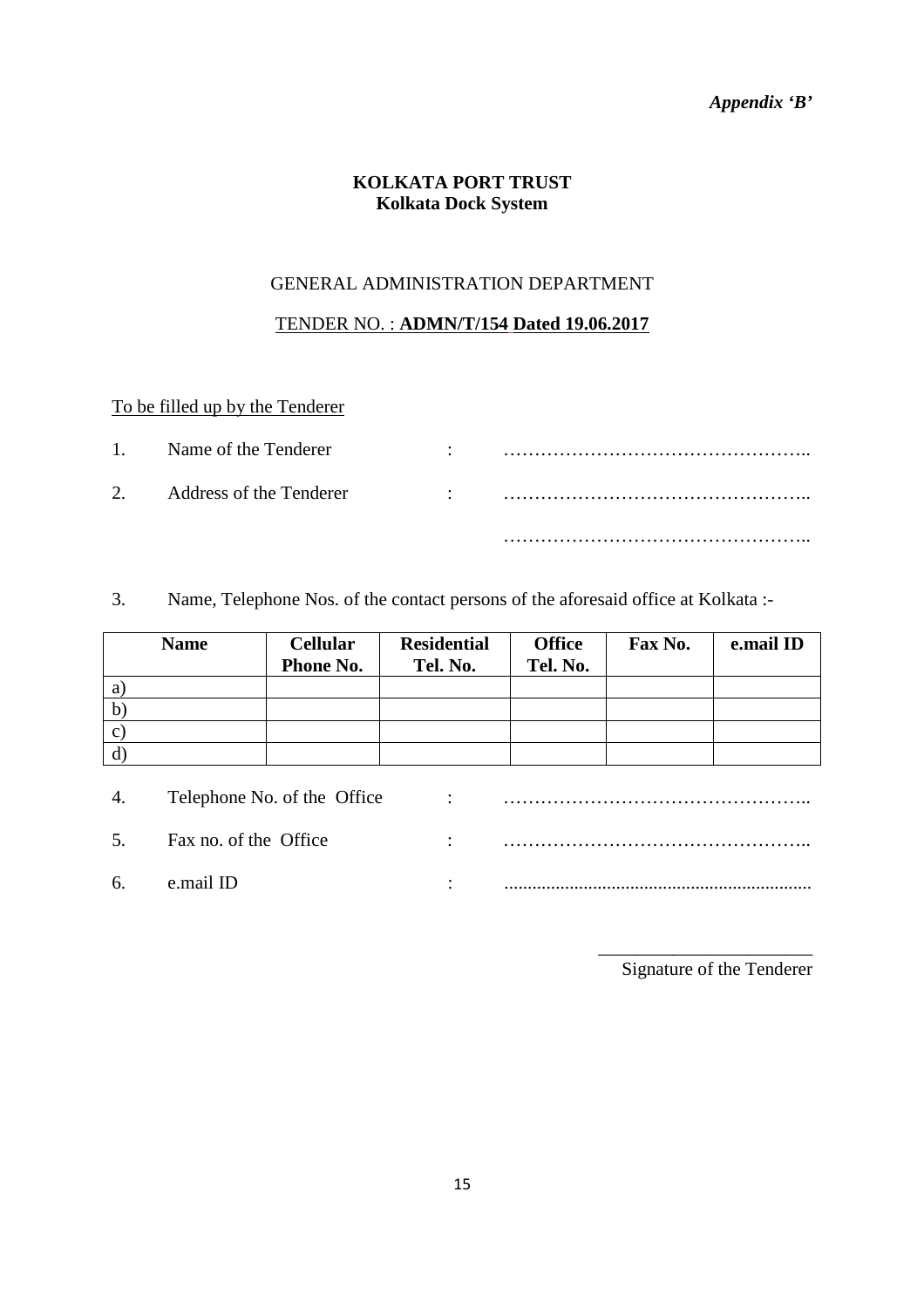# *Appendix 'B'*

# **KOLKATA PORT TRUST Kolkata Dock System**

## GENERAL ADMINISTRATION DEPARTMENT

### TENDER NO. : **ADMN/T/154 Dated 19.06.2017**

# To be filled up by the Tenderer

| $1 -$ | Name of the Tenderer                                            | ٠ |  |
|-------|-----------------------------------------------------------------|---|--|
|       | 2. Address of the Tenderer<br>$\sim 10^{11}$ and $\sim 10^{11}$ |   |  |
|       |                                                                 |   |  |

3. Name, Telephone Nos. of the contact persons of the aforesaid office at Kolkata :-

| <b>Name</b>  | <b>Cellular</b><br>Phone No. | <b>Residential</b><br>Tel. No. | <b>Office</b><br>Tel. No. | Fax No. | e.mail ID |
|--------------|------------------------------|--------------------------------|---------------------------|---------|-----------|
| a            |                              |                                |                           |         |           |
| $\mathbf{b}$ |                              |                                |                           |         |           |
| $\mathbf{C}$ |                              |                                |                           |         |           |
| d            |                              |                                |                           |         |           |

| 4. | Telephone No. of the Office | $\sim$ $\sim$ $\sim$ $\sim$ |  |
|----|-----------------------------|-----------------------------|--|
| 5. | Fax no. of the Office       | $\bullet$                   |  |
| 6. | e mail ID                   |                             |  |

\_\_\_\_\_\_\_\_\_\_\_\_\_\_\_\_\_\_\_\_\_\_\_ Signature of the Tenderer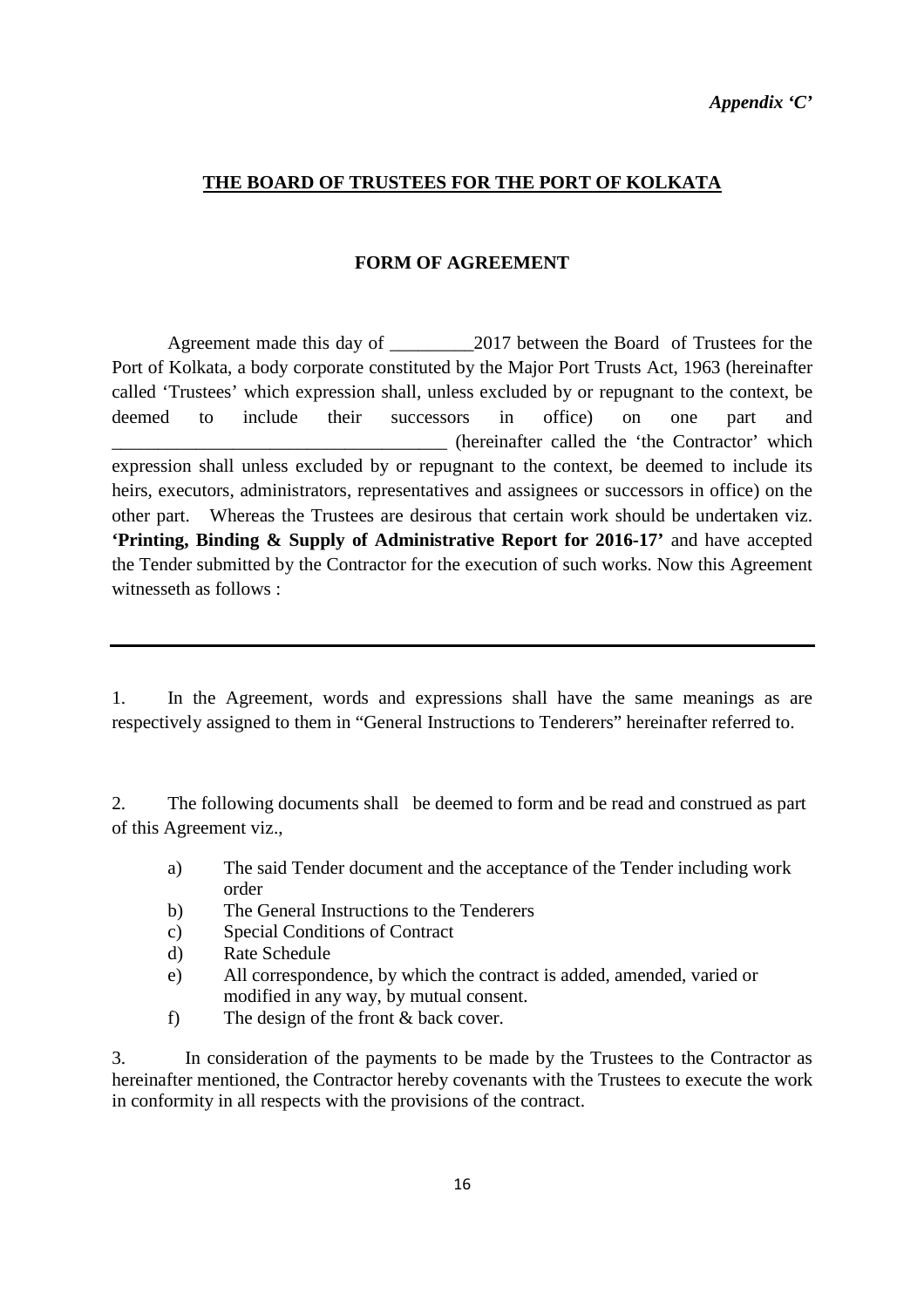*Appendix 'C'* 

### **THE BOARD OF TRUSTEES FOR THE PORT OF KOLKATA**

#### **FORM OF AGREEMENT**

 Agreement made this day of \_\_\_\_\_\_\_\_\_2017 between the Board of Trustees for the Port of Kolkata, a body corporate constituted by the Major Port Trusts Act, 1963 (hereinafter called 'Trustees' which expression shall, unless excluded by or repugnant to the context, be deemed to include their successors in office) on one part and \_\_\_\_\_\_\_\_\_\_\_\_\_\_\_\_\_\_\_\_\_\_\_\_\_\_\_\_\_\_\_\_\_\_\_\_ (hereinafter called the 'the Contractor' which expression shall unless excluded by or repugnant to the context, be deemed to include its heirs, executors, administrators, representatives and assignees or successors in office) on the other part. Whereas the Trustees are desirous that certain work should be undertaken viz. **'Printing, Binding & Supply of Administrative Report for 2016-17'** and have accepted the Tender submitted by the Contractor for the execution of such works. Now this Agreement witnesseth as follows :

1. In the Agreement, words and expressions shall have the same meanings as are respectively assigned to them in "General Instructions to Tenderers" hereinafter referred to.

2. The following documents shall be deemed to form and be read and construed as part of this Agreement viz.,

- a) The said Tender document and the acceptance of the Tender including work order
- b) The General Instructions to the Tenderers
- c) Special Conditions of Contract
- d) Rate Schedule
- e) All correspondence, by which the contract is added, amended, varied or modified in any way, by mutual consent.
- f) The design of the front & back cover.

3. In consideration of the payments to be made by the Trustees to the Contractor as hereinafter mentioned, the Contractor hereby covenants with the Trustees to execute the work in conformity in all respects with the provisions of the contract.